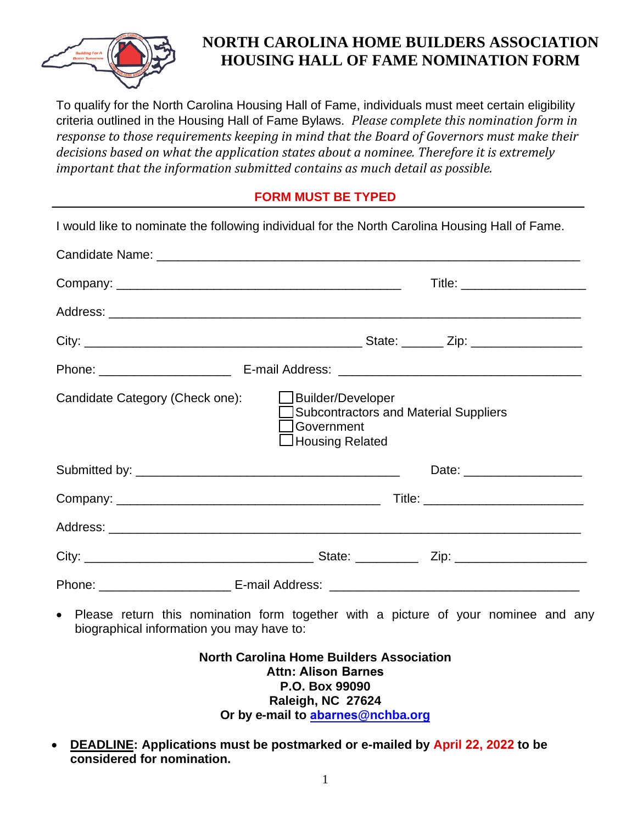

## **NORTH CAROLINA HOME BUILDERS ASSOCIATION HOUSING HALL OF FAME NOMINATION FORM**

To qualify for the North Carolina Housing Hall of Fame, individuals must meet certain eligibility criteria outlined in the Housing Hall of Fame Bylaws. *Please complete this nomination form in response to those requirements keeping in mind that the Board of Governors must make their decisions based on what the application states about a nominee. Therefore it is extremely important that the information submitted contains as much detail as possible.*

## **FORM MUST BE TYPED**

| I would like to nominate the following individual for the North Carolina Housing Hall of Fame. |                                                                                                             |                              |
|------------------------------------------------------------------------------------------------|-------------------------------------------------------------------------------------------------------------|------------------------------|
|                                                                                                |                                                                                                             |                              |
|                                                                                                |                                                                                                             | Title: _____________________ |
|                                                                                                |                                                                                                             |                              |
|                                                                                                |                                                                                                             |                              |
|                                                                                                |                                                                                                             |                              |
| Candidate Category (Check one):                                                                | Builder/Developer<br><b>Subcontractors and Material Suppliers</b><br>l Government<br>$\Box$ Housing Related |                              |
|                                                                                                |                                                                                                             | Date: _____________________  |
|                                                                                                |                                                                                                             |                              |
|                                                                                                |                                                                                                             |                              |
|                                                                                                |                                                                                                             |                              |
|                                                                                                |                                                                                                             |                              |
| $\bullet$<br>biographical information you may have to:                                         | Please return this nomination form together with a picture of your nominee and any                          |                              |

**North Carolina Home Builders Association Attn: Alison Barnes P.O. Box 99090 Raleigh, NC 27624 Or by e-mail to abarnes[@nchba.org](mailto:abarnes@nchba.org)**

• **DEADLINE: Applications must be postmarked or e-mailed by April 22, 2022 to be considered for nomination.**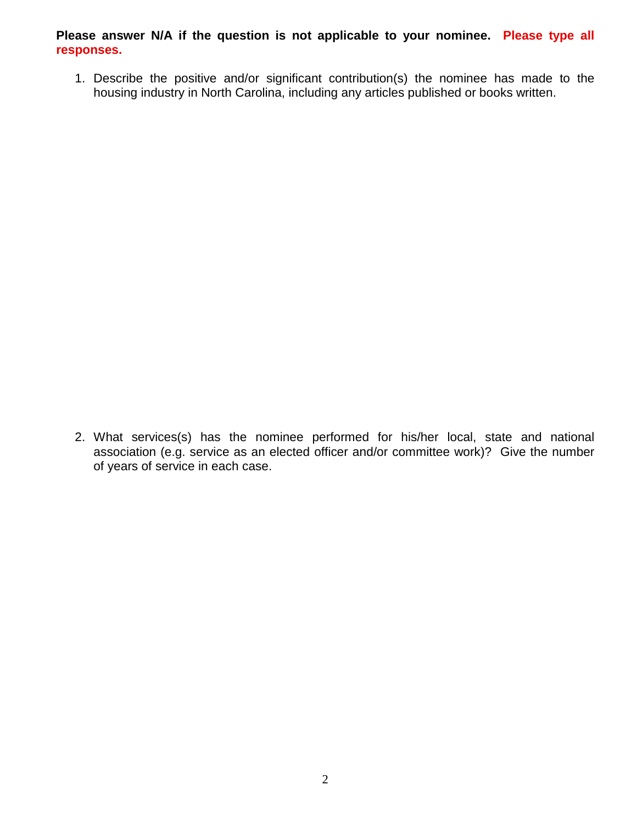**Please answer N/A if the question is not applicable to your nominee. Please type all responses.**

1. Describe the positive and/or significant contribution(s) the nominee has made to the housing industry in North Carolina, including any articles published or books written.

2. What services(s) has the nominee performed for his/her local, state and national association (e.g. service as an elected officer and/or committee work)? Give the number of years of service in each case.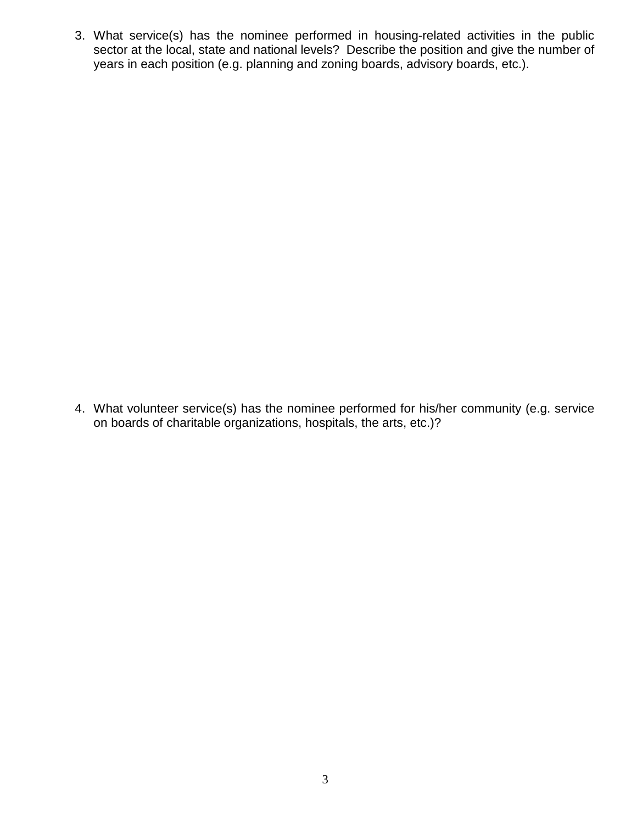3. What service(s) has the nominee performed in housing-related activities in the public sector at the local, state and national levels? Describe the position and give the number of years in each position (e.g. planning and zoning boards, advisory boards, etc.).

4. What volunteer service(s) has the nominee performed for his/her community (e.g. service on boards of charitable organizations, hospitals, the arts, etc.)?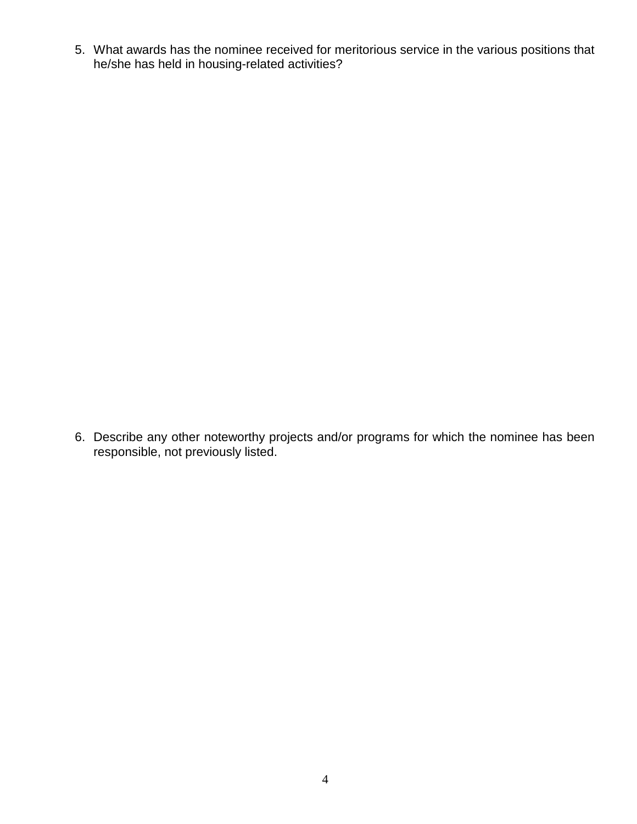5. What awards has the nominee received for meritorious service in the various positions that he/she has held in housing-related activities?

6. Describe any other noteworthy projects and/or programs for which the nominee has been responsible, not previously listed.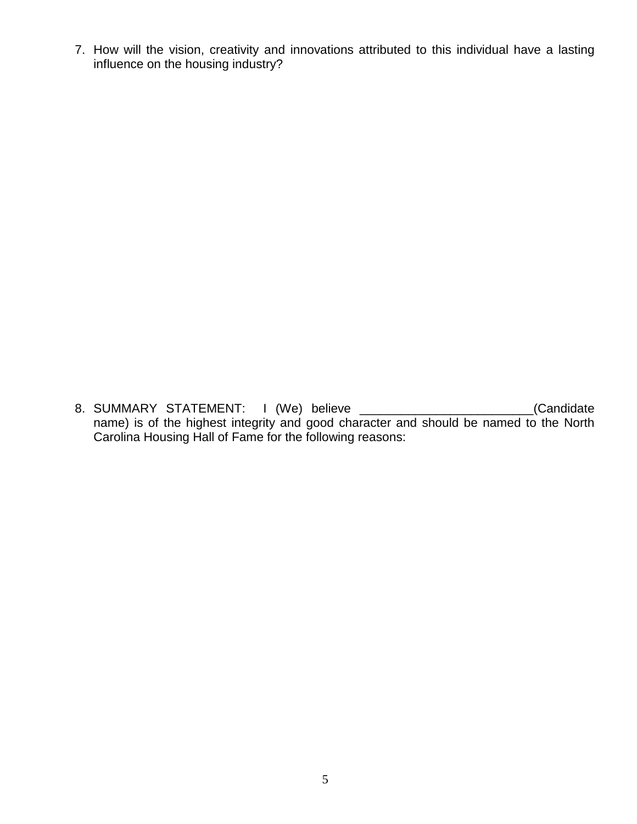7. How will the vision, creativity and innovations attributed to this individual have a lasting influence on the housing industry?

8. SUMMARY STATEMENT: I (We) believe \_\_\_\_\_\_\_\_\_\_\_\_\_\_\_\_\_\_\_\_\_\_\_\_\_(Candidate name) is of the highest integrity and good character and should be named to the North Carolina Housing Hall of Fame for the following reasons: